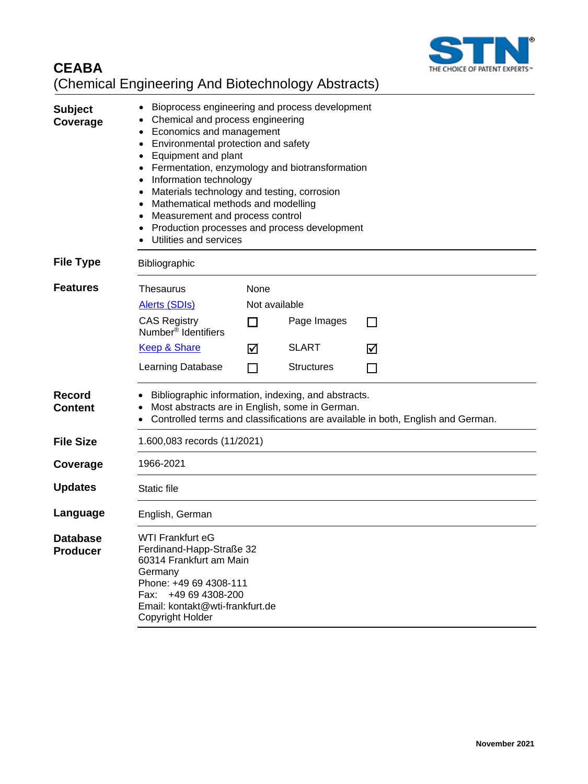

## **CEABA** (Chemical Engineering And Biotechnology Abstracts)

| <b>Subject</b><br>Coverage         | Bioprocess engineering and process development<br>Chemical and process engineering<br>Economics and management<br>Environmental protection and safety<br>Equipment and plant<br>Fermentation, enzymology and biotransformation<br>Information technology<br>$\bullet$<br>Materials technology and testing, corrosion<br>Mathematical methods and modelling<br>$\bullet$<br>Measurement and process control<br>Production processes and process development<br>Utilities and services |                            |                   |              |
|------------------------------------|--------------------------------------------------------------------------------------------------------------------------------------------------------------------------------------------------------------------------------------------------------------------------------------------------------------------------------------------------------------------------------------------------------------------------------------------------------------------------------------|----------------------------|-------------------|--------------|
| <b>File Type</b>                   | Bibliographic                                                                                                                                                                                                                                                                                                                                                                                                                                                                        |                            |                   |              |
| <b>Features</b>                    | <b>Thesaurus</b><br>Alerts (SDIs)<br><b>CAS Registry</b><br>Number <sup>®</sup> Identifiers                                                                                                                                                                                                                                                                                                                                                                                          | None<br>Not available<br>П | Page Images       | $\mathsf{L}$ |
|                                    | Keep & Share                                                                                                                                                                                                                                                                                                                                                                                                                                                                         | ⊠                          | <b>SLART</b>      | ☑            |
|                                    | Learning Database                                                                                                                                                                                                                                                                                                                                                                                                                                                                    | П                          | <b>Structures</b> |              |
| <b>Record</b><br><b>Content</b>    | Bibliographic information, indexing, and abstracts.<br>Most abstracts are in English, some in German.<br>Controlled terms and classifications are available in both, English and German.                                                                                                                                                                                                                                                                                             |                            |                   |              |
| <b>File Size</b>                   | 1.600,083 records (11/2021)                                                                                                                                                                                                                                                                                                                                                                                                                                                          |                            |                   |              |
| Coverage                           | 1966-2021                                                                                                                                                                                                                                                                                                                                                                                                                                                                            |                            |                   |              |
| <b>Updates</b>                     | Static file                                                                                                                                                                                                                                                                                                                                                                                                                                                                          |                            |                   |              |
| Language                           | English, German                                                                                                                                                                                                                                                                                                                                                                                                                                                                      |                            |                   |              |
| <b>Database</b><br><b>Producer</b> | WTI Frankfurt eG<br>Ferdinand-Happ-Straße 32<br>60314 Frankfurt am Main<br>Germany<br>Phone: +49 69 4308-111<br>Fax: +49 69 4308-200<br>Email: kontakt@wti-frankfurt.de<br>Copyright Holder                                                                                                                                                                                                                                                                                          |                            |                   |              |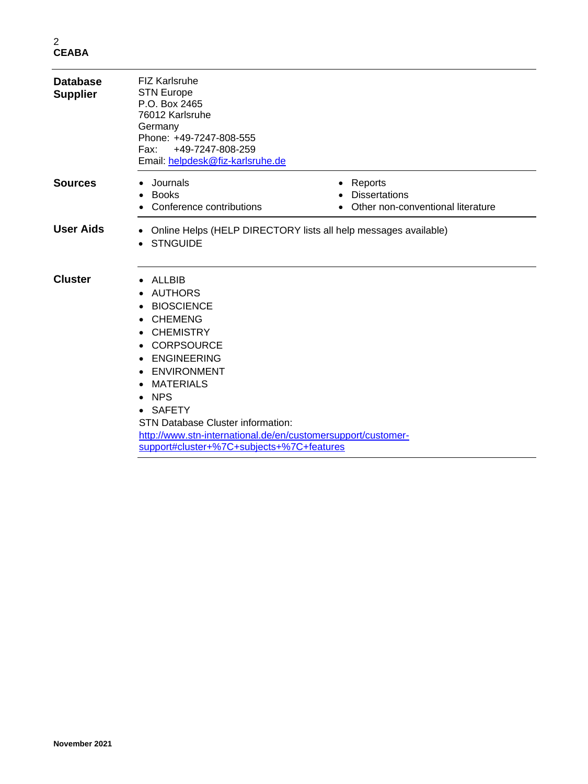| <b>Database</b><br><b>Supplier</b> | <b>FIZ Karlsruhe</b><br><b>STN Europe</b><br>P.O. Box 2465<br>76012 Karlsruhe<br>Germany<br>Phone: +49-7247-808-555<br>+49-7247-808-259<br>Fax: F<br>Email: helpdesk@fiz-karlsruhe.de                                                                                                                                                                                                                    |                                                                      |
|------------------------------------|----------------------------------------------------------------------------------------------------------------------------------------------------------------------------------------------------------------------------------------------------------------------------------------------------------------------------------------------------------------------------------------------------------|----------------------------------------------------------------------|
| <b>Sources</b>                     | Journals<br><b>Books</b><br>$\bullet$<br>Conference contributions                                                                                                                                                                                                                                                                                                                                        | Reports<br><b>Dissertations</b><br>Other non-conventional literature |
| <b>User Aids</b>                   | Online Helps (HELP DIRECTORY lists all help messages available)<br>٠<br><b>STNGUIDE</b>                                                                                                                                                                                                                                                                                                                  |                                                                      |
| <b>Cluster</b>                     | ALLBIB<br><b>AUTHORS</b><br><b>BIOSCIENCE</b><br><b>CHEMENG</b><br>$\bullet$<br><b>CHEMISTRY</b><br><b>CORPSOURCE</b><br>$\bullet$<br><b>ENGINEERING</b><br>$\bullet$<br>ENVIRONMENT<br><b>MATERIALS</b><br><b>NPS</b><br>$\bullet$<br>• SAFETY<br><b>STN Database Cluster information:</b><br>http://www.stn-international.de/en/customersupport/customer-<br>support#cluster+%7C+subjects+%7C+features |                                                                      |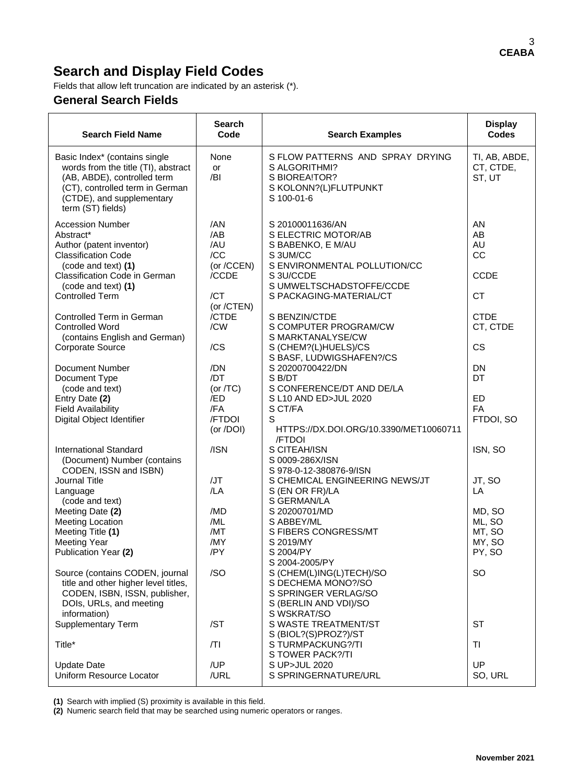## **Search and Display Field Codes**

Fields that allow left truncation are indicated by an asterisk (\*).

## **General Search Fields**

| <b>Search Field Name</b>                                                                                                                                                                                | Search<br>Code<br><b>Search Examples</b>               |                                                                                                                                                                              | <b>Display</b><br><b>Codes</b>                   |
|---------------------------------------------------------------------------------------------------------------------------------------------------------------------------------------------------------|--------------------------------------------------------|------------------------------------------------------------------------------------------------------------------------------------------------------------------------------|--------------------------------------------------|
| Basic Index* (contains single<br>words from the title (TI), abstract<br>(AB, ABDE), controlled term<br>(CT), controlled term in German<br>(CTDE), and supplementary<br>term (ST) fields)                | None<br>or<br>/BI                                      | S FLOW PATTERNS AND SPRAY DRYING<br>S ALGORITHMI?<br>S BIOREA!TOR?<br>S KOLONN?(L)FLUTPUNKT<br>S 100-01-6                                                                    | TI, AB, ABDE,<br>CT, CTDE,<br>ST, UT             |
| <b>Accession Number</b><br>Abstract*<br>Author (patent inventor)<br><b>Classification Code</b><br>(code and text) (1)<br>Classification Code in German<br>(code and text) (1)<br><b>Controlled Term</b> | /AN<br>/AB<br>/AU<br>/CC<br>(or /CCEN)<br>/CCDE<br>/CT | S 20100011636/AN<br>S ELECTRIC MOTOR/AB<br>S BABENKO, E M/AU<br>S 3UM/CC<br>S ENVIRONMENTAL POLLUTION/CC<br>S 3U/CCDE<br>S UMWELTSCHADSTOFFE/CCDE<br>S PACKAGING-MATERIAL/CT | AN<br>AB<br>AU<br>CC<br><b>CCDE</b><br><b>CT</b> |
| Controlled Term in German<br><b>Controlled Word</b><br>(contains English and German)<br><b>Corporate Source</b>                                                                                         | (or /CTEN)<br>/CTDE<br>/CW<br>/CS                      | S BENZIN/CTDE<br>S COMPUTER PROGRAM/CW<br>S MARKTANALYSE/CW<br>S (CHEM?(L)HUELS)/CS<br>S BASF, LUDWIGSHAFEN?/CS                                                              | <b>CTDE</b><br>CT, CTDE<br>CS                    |
| <b>Document Number</b><br>Document Type<br>(code and text)<br>Entry Date (2)                                                                                                                            | /DN<br>/DT<br>(or $/TC$ )<br>/ED<br>/FA                | S 20200700422/DN<br>S B/DT<br>S CONFERENCE/DT AND DE/LA<br>S L10 AND ED>JUL 2020                                                                                             | <b>DN</b><br>DT<br>ED<br><b>FA</b>               |
| <b>Field Availability</b><br>Digital Object Identifier                                                                                                                                                  | /FTDOI<br>(or /DOI)                                    | S CT/FA<br>S<br>HTTPS://DX.DOI.ORG/10.3390/MET10060711<br><b>/FTDOI</b>                                                                                                      | FTDOI, SO                                        |
| <b>International Standard</b><br>(Document) Number (contains<br>CODEN, ISSN and ISBN)<br>Journal Title                                                                                                  | /ISN<br>/JT                                            | S CITEAH/ISN<br>S 0009-286X/ISN<br>S 978-0-12-380876-9/ISN<br>S CHEMICAL ENGINEERING NEWS/JT                                                                                 | ISN, SO<br>JT, SO                                |
| Language<br>(code and text)<br>Meeting Date (2)                                                                                                                                                         | /LA<br>/MD                                             | S (EN OR FR)/LA<br>S GERMAN/LA<br>S 20200701/MD                                                                                                                              | LA<br>MD, SO                                     |
| <b>Meeting Location</b><br>Meeting Title (1)<br><b>Meeting Year</b><br>Publication Year (2)                                                                                                             | /ML<br>/MT<br>/MY<br>/PY                               | S ABBEY/ML<br>S FIBERS CONGRESS/MT<br>S 2019/MY<br>S 2004/PY                                                                                                                 | ML, SO<br>MT, SO<br>MY, SO<br>PY, SO             |
| Source (contains CODEN, journal<br>title and other higher level titles,<br>CODEN, ISBN, ISSN, publisher,<br>DOIs, URLs, and meeting<br>information)                                                     | /SO                                                    | S 2004-2005/PY<br>S (CHEM(L)ING(L)TECH)/SO<br>S DECHEMA MONO?/SO<br>S SPRINGER VERLAG/SO<br>S (BERLIN AND VDI)/SO<br>S WSKRAT/SO                                             | <b>SO</b>                                        |
| <b>Supplementary Term</b>                                                                                                                                                                               | /ST                                                    | S WASTE TREATMENT/ST<br>S (BIOL?(S)PROZ?)/ST                                                                                                                                 | <b>ST</b>                                        |
| Title*                                                                                                                                                                                                  | /TI                                                    | S TURMPACKUNG?/TI<br>S TOWER PACK?/TI                                                                                                                                        | <b>TI</b>                                        |
| /UP<br><b>Update Date</b><br>Uniform Resource Locator<br>/URL                                                                                                                                           |                                                        | S UP>JUL 2020<br>S SPRINGERNATURE/URL                                                                                                                                        | UP<br>SO, URL                                    |

**(1)** Search with implied (S) proximity is available in this field.

**(2)** Numeric search field that may be searched using numeric operators or ranges.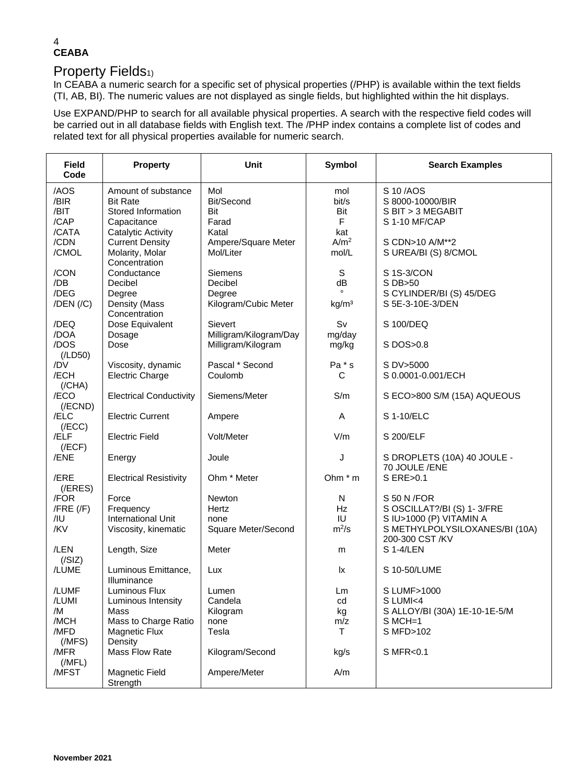#### 4 **CEABA**

## Property Fields<sub>1)</sub>

In CEABA a numeric search for a specific set of physical properties (/PHP) is available within the text fields (TI, AB, BI). The numeric values are not displayed as single fields, but highlighted within the hit displays.

Use EXPAND/PHP to search for all available physical properties. A search with the respective field codes will be carried out in all database fields with English text. The /PHP index contains a complete list of codes and related text for all physical properties available for numeric search.

| <b>Field</b><br>Code                          | <b>Property</b>                                                                                        | <b>Unit</b>                                          | Symbol                                | <b>Search Examples</b>                                                                                                     |
|-----------------------------------------------|--------------------------------------------------------------------------------------------------------|------------------------------------------------------|---------------------------------------|----------------------------------------------------------------------------------------------------------------------------|
| /AOS<br>/BIR<br>/BIT<br>/CAP                  | Amount of substance<br><b>Bit Rate</b><br>Stored Information<br>Capacitance                            | Mol<br>Bit/Second<br>Bit<br>Farad                    | mol<br>bit/s<br>Bit<br>F              | S 10/AOS<br>S 8000-10000/BIR<br>S BIT > 3 MEGABIT<br>S 1-10 MF/CAP                                                         |
| /CATA<br>/CDN<br>/CMOL                        | Catalytic Activity<br><b>Current Density</b><br>Molarity, Molar<br>Concentration                       | Katal<br>Ampere/Square Meter<br>Mol/Liter            | kat<br>A/m <sup>2</sup><br>mol/L      | S CDN>10 A/M**2<br>S UREA/BI (S) 8/CMOL                                                                                    |
| /CON<br>/DB<br>/DEG<br>$/$ DEN $/$ $/$ C $)$  | Conductance<br>Decibel<br>Degree<br>Density (Mass                                                      | Siemens<br>Decibel<br>Degree<br>Kilogram/Cubic Meter | S<br>dB<br>kg/m <sup>3</sup>          | S 1S-3/CON<br>S DB>50<br>S CYLINDER/BI (S) 45/DEG<br>S 5E-3-10E-3/DEN                                                      |
| /DEQ<br>/DOA                                  | Concentration<br>Dose Equivalent<br>Dosage                                                             | Sievert<br>Milligram/Kilogram/Day                    | Sv<br>mg/day                          | S 100/DEQ                                                                                                                  |
| /DOS<br>(ILD50)                               | Dose                                                                                                   | Milligram/Kilogram                                   | mg/kg                                 | S DOS>0.8                                                                                                                  |
| /DV<br>/ECH<br>(/CHA)                         | Viscosity, dynamic<br><b>Electric Charge</b>                                                           | Pascal * Second<br>Coulomb                           | Pa * s<br>C                           | S DV>5000<br>S 0.0001-0.001/ECH                                                                                            |
| /ECO<br>$($ /ECND $)$                         | <b>Electrical Conductivity</b>                                                                         | Siemens/Meter                                        | S/m                                   | S ECO>800 S/M (15A) AQUEOUS                                                                                                |
| /ELC<br>(/ECC)                                | <b>Electric Current</b>                                                                                | Ampere                                               | A                                     | S 1-10/ELC                                                                                                                 |
| /ELF<br>(/ECF)                                | <b>Electric Field</b>                                                                                  | Volt/Meter                                           | V/m                                   | S 200/ELF                                                                                                                  |
| /ENE                                          | Energy                                                                                                 | Joule                                                | J                                     | S DROPLETS (10A) 40 JOULE -<br>70 JOULE /ENE                                                                               |
| /ERE<br>(/ERES)                               | <b>Electrical Resistivity</b>                                                                          | Ohm * Meter                                          | Ohm * m                               | S ERE>0.1                                                                                                                  |
| /FOR<br>$/$ FRE $($ /F $)$<br>/IU<br>/KV      | Force<br>Frequency<br><b>International Unit</b><br>Viscosity, kinematic                                | Newton<br>Hertz<br>none<br>Square Meter/Second       | N<br><b>Hz</b><br>IU<br>$m^2/s$       | S 50 N / FOR<br>S OSCILLAT?/BI (S) 1-3/FRE<br>S IU>1000 (P) VITAMIN A<br>S METHYLPOLYSILOXANES/BI (10A)<br>200-300 CST /KV |
| /LEN<br>(/SIZ)                                | Length, Size                                                                                           | Meter                                                | m                                     | S 1-4/LEN                                                                                                                  |
| /LUME                                         | Luminous Emittance,<br>Illuminance                                                                     | Lux                                                  | lx.                                   | S 10-50/LUME                                                                                                               |
| /LUMF<br>/LUMI<br>/M<br>/MCH<br>/MFD<br>(MFS) | Luminous Flux<br>Luminous Intensity<br>Mass<br>Mass to Charge Ratio<br><b>Magnetic Flux</b><br>Density | Lumen<br>Candela<br>Kilogram<br>none<br>Tesla        | Lm<br>cd<br>kg<br>m/z<br>$\mathsf{T}$ | S LUMF>1000<br>S LUMI<4<br>S ALLOY/BI (30A) 1E-10-1E-5/M<br>$S MCH=1$<br>S MFD>102                                         |
| /MFR<br>(MFL)                                 | Mass Flow Rate                                                                                         | Kilogram/Second                                      | kg/s                                  | S MFR<0.1                                                                                                                  |
| /MFST                                         | <b>Magnetic Field</b><br>Strength                                                                      | Ampere/Meter                                         | A/m                                   |                                                                                                                            |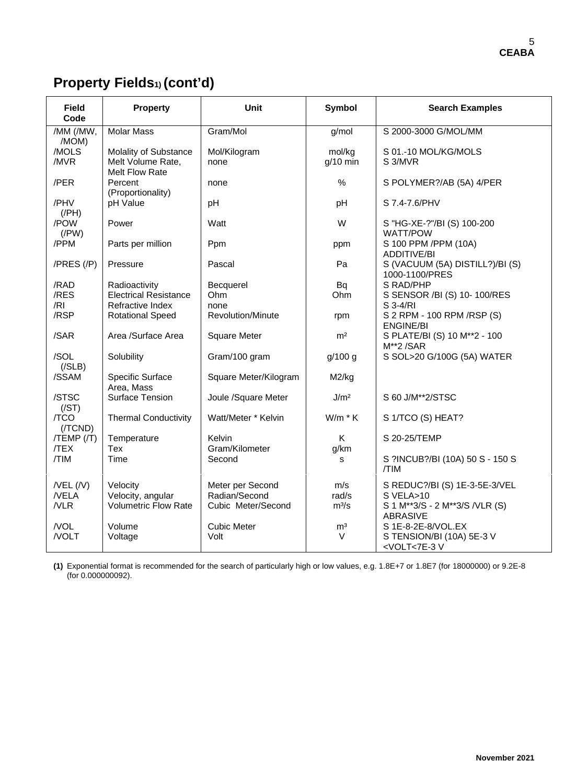# **Property Fields1) (cont'd)**

| <b>Field</b><br>Code                | <b>Property</b>                                              | Unit                                                    | Symbol                  | <b>Search Examples</b>                                                                          |
|-------------------------------------|--------------------------------------------------------------|---------------------------------------------------------|-------------------------|-------------------------------------------------------------------------------------------------|
| /MM (/MW,<br>/MOM)                  | <b>Molar Mass</b>                                            | Gram/Mol                                                | g/mol                   | S 2000-3000 G/MOL/MM                                                                            |
| /MOLS<br>/MVR                       | Molality of Substance<br>Melt Volume Rate,<br>Melt Flow Rate | Mol/Kilogram<br>none                                    | mol/kg<br>$q/10$ min    | S 01.-10 MOL/KG/MOLS<br>S 3/MVR                                                                 |
| /PER                                | Percent<br>(Proportionality)                                 | none                                                    | %                       | S POLYMER?/AB (5A) 4/PER                                                                        |
| /PHV<br>$($ /PH $)$                 | pH Value                                                     | pH                                                      | pH                      | S 7.4-7.6/PHV                                                                                   |
| /POW<br>$($ /PW $)$                 | Power                                                        | Watt                                                    | W                       | S "HG-XE-?"/BI (S) 100-200<br><b>WATT/POW</b>                                                   |
| /PPM                                | Parts per million                                            | Ppm                                                     | ppm                     | S 100 PPM /PPM (10A)<br><b>ADDITIVE/BI</b>                                                      |
| /PRES (/P)                          | Pressure                                                     | Pascal                                                  | Pa                      | S (VACUUM (5A) DISTILL?)/BI (S)<br>1000-1100/PRES                                               |
| /RAD                                | Radioactivity                                                | Becquerel                                               | Bq                      | S RAD/PHP                                                                                       |
| /RES                                | <b>Electrical Resistance</b>                                 | Ohm                                                     | Ohm                     | S SENSOR /BI (S) 10-100/RES                                                                     |
| /RI                                 | Refractive Index                                             | none                                                    |                         | S 3-4/RI                                                                                        |
| /RSP                                | <b>Rotational Speed</b>                                      | Revolution/Minute                                       | rpm                     | S 2 RPM - 100 RPM / RSP (S)<br><b>ENGINE/BI</b>                                                 |
| /SAR                                | Area /Surface Area                                           | <b>Square Meter</b>                                     | m <sup>2</sup>          | S PLATE/BI (S) 10 M**2 - 100<br>M**2/SAR                                                        |
| /SOL<br>( / SLB)                    | Solubility                                                   | Gram/100 gram                                           | g/100 g                 | S SOL>20 G/100G (5A) WATER                                                                      |
| /SSAM                               | Specific Surface<br>Area, Mass                               | Square Meter/Kilogram                                   | M2/kg                   |                                                                                                 |
| /STSC<br>(/ST)                      | <b>Surface Tension</b>                                       | Joule /Square Meter                                     | J/m <sup>2</sup>        | S 60 J/M**2/STSC                                                                                |
| /TCO<br>(/TCND)                     | <b>Thermal Conductivity</b>                                  | Watt/Meter * Kelvin                                     | $W/m * K$               | S 1/TCO (S) HEAT?                                                                               |
| $/TEMP$ $/$<br><b>TEX</b>           | Temperature<br><b>Tex</b>                                    | Kelvin<br>Gram/Kilometer                                | K<br>g/km               | S 20-25/TEMP                                                                                    |
| /TIM                                | Time                                                         | Second                                                  | s                       | S ?INCUB?/BI (10A) 50 S - 150 S<br>/TIM                                                         |
| $/$ VEL $($ /V $)$<br>/VELA<br>/VLR | Velocity<br>Velocity, angular<br><b>Volumetric Flow Rate</b> | Meter per Second<br>Radian/Second<br>Cubic Meter/Second | m/s<br>rad/s<br>$m^3/s$ | S REDUC?/BI (S) 1E-3-5E-3/VEL<br>S VELA>10<br>S 1 M**3/S - 2 M**3/S /VLR (S)<br><b>ABRASIVE</b> |
| /VOL<br>/VOLT                       | Volume<br>Voltage                                            | <b>Cubic Meter</b><br>Volt                              | m <sup>3</sup><br>V     | S 1E-8-2E-8/VOL.EX<br>S TENSION/BI (10A) 5E-3 V<br><volt<7e-3v< td=""></volt<7e-3v<>            |

**(1)** Exponential format is recommended for the search of particularly high or low values, e.g. 1.8E+7 or 1.8E7 (for 18000000) or 9.2E-8 (for 0.000000092).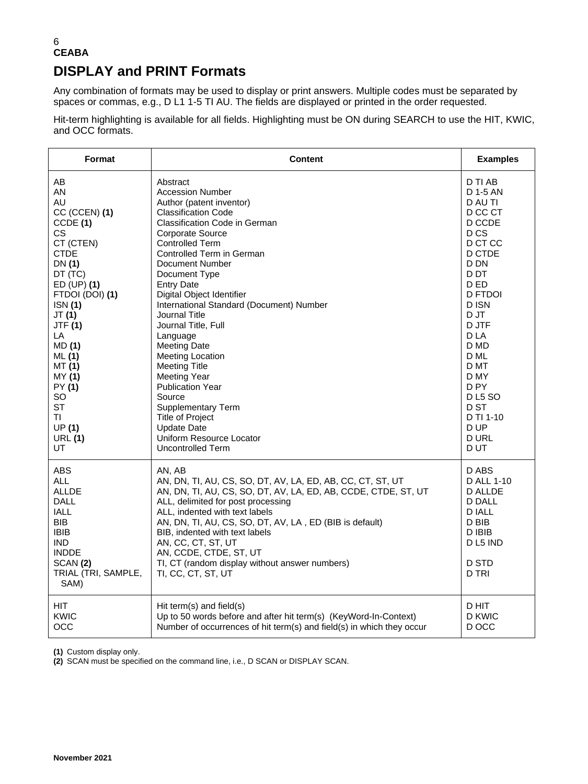#### 6 **CEABA DISPLAY and PRINT Formats**

Any combination of formats may be used to display or print answers. Multiple codes must be separated by spaces or commas, e.g., D L1 1-5 TI AU. The fields are displayed or printed in the order requested.

Hit-term highlighting is available for all fields. Highlighting must be ON during SEARCH to use the HIT, KWIC, and OCC formats.

| Format                                                                                                                                                  | <b>Content</b>                                                                                                                                                                                                                                                                                                                                                                                                                      | <b>Examples</b>                                                                                                          |
|---------------------------------------------------------------------------------------------------------------------------------------------------------|-------------------------------------------------------------------------------------------------------------------------------------------------------------------------------------------------------------------------------------------------------------------------------------------------------------------------------------------------------------------------------------------------------------------------------------|--------------------------------------------------------------------------------------------------------------------------|
| AB                                                                                                                                                      | Abstract                                                                                                                                                                                                                                                                                                                                                                                                                            | D TI AB                                                                                                                  |
| AN                                                                                                                                                      | <b>Accession Number</b>                                                                                                                                                                                                                                                                                                                                                                                                             | D 1-5 AN                                                                                                                 |
| AU                                                                                                                                                      | Author (patent inventor)                                                                                                                                                                                                                                                                                                                                                                                                            | D AU TI                                                                                                                  |
| CC (CCEN) (1)                                                                                                                                           | <b>Classification Code</b>                                                                                                                                                                                                                                                                                                                                                                                                          | D CC CT                                                                                                                  |
| CCDE(1)                                                                                                                                                 | <b>Classification Code in German</b>                                                                                                                                                                                                                                                                                                                                                                                                | D CCDE                                                                                                                   |
| CS.                                                                                                                                                     | Corporate Source                                                                                                                                                                                                                                                                                                                                                                                                                    | D <sub>CS</sub>                                                                                                          |
| CT (CTEN)                                                                                                                                               | Controlled Term                                                                                                                                                                                                                                                                                                                                                                                                                     | D CT CC                                                                                                                  |
| <b>CTDE</b>                                                                                                                                             | Controlled Term in German                                                                                                                                                                                                                                                                                                                                                                                                           | D CTDE                                                                                                                   |
| DN(1)                                                                                                                                                   | Document Number                                                                                                                                                                                                                                                                                                                                                                                                                     | D DN                                                                                                                     |
| DT (TC)                                                                                                                                                 | Document Type                                                                                                                                                                                                                                                                                                                                                                                                                       | D DT                                                                                                                     |
| $ED$ (UP) $(1)$                                                                                                                                         | <b>Entry Date</b>                                                                                                                                                                                                                                                                                                                                                                                                                   | D ED                                                                                                                     |
| FTDOI (DOI) (1)                                                                                                                                         | Digital Object Identifier                                                                                                                                                                                                                                                                                                                                                                                                           | <b>D FTDOI</b>                                                                                                           |
| ISN (1)                                                                                                                                                 | International Standard (Document) Number                                                                                                                                                                                                                                                                                                                                                                                            | D ISN                                                                                                                    |
| JT (1)                                                                                                                                                  | <b>Journal Title</b>                                                                                                                                                                                                                                                                                                                                                                                                                | D JT                                                                                                                     |
| <b>JTF (1)</b>                                                                                                                                          | Journal Title, Full                                                                                                                                                                                                                                                                                                                                                                                                                 | D JTF                                                                                                                    |
| LA                                                                                                                                                      | Language                                                                                                                                                                                                                                                                                                                                                                                                                            | D LA                                                                                                                     |
| MD (1)                                                                                                                                                  | <b>Meeting Date</b>                                                                                                                                                                                                                                                                                                                                                                                                                 | D MD                                                                                                                     |
| ML(1)                                                                                                                                                   | <b>Meeting Location</b>                                                                                                                                                                                                                                                                                                                                                                                                             | D ML                                                                                                                     |
| MT (1)                                                                                                                                                  | <b>Meeting Title</b>                                                                                                                                                                                                                                                                                                                                                                                                                | D MT                                                                                                                     |
| MY (1)                                                                                                                                                  | <b>Meeting Year</b>                                                                                                                                                                                                                                                                                                                                                                                                                 | D MY                                                                                                                     |
| PY (1)                                                                                                                                                  | <b>Publication Year</b>                                                                                                                                                                                                                                                                                                                                                                                                             | D <sub>PY</sub>                                                                                                          |
| SO.                                                                                                                                                     | Source                                                                                                                                                                                                                                                                                                                                                                                                                              | <b>DL5 SO</b>                                                                                                            |
| <b>ST</b>                                                                                                                                               | <b>Supplementary Term</b>                                                                                                                                                                                                                                                                                                                                                                                                           | D ST                                                                                                                     |
| ΤI                                                                                                                                                      | Title of Project                                                                                                                                                                                                                                                                                                                                                                                                                    | D TI 1-10                                                                                                                |
| UP(1)                                                                                                                                                   | <b>Update Date</b>                                                                                                                                                                                                                                                                                                                                                                                                                  | D UP                                                                                                                     |
| <b>URL (1)</b>                                                                                                                                          | Uniform Resource Locator                                                                                                                                                                                                                                                                                                                                                                                                            | D URL                                                                                                                    |
| UT.                                                                                                                                                     | Uncontrolled Term                                                                                                                                                                                                                                                                                                                                                                                                                   | D UT                                                                                                                     |
| ABS<br><b>ALL</b><br><b>ALLDE</b><br><b>DALL</b><br>IALL<br><b>BIB</b><br><b>IBIB</b><br>IND.<br><b>INDDE</b><br>SCAN(2)<br>TRIAL (TRI, SAMPLE,<br>SAM) | AN, AB<br>AN, DN, TI, AU, CS, SO, DT, AV, LA, ED, AB, CC, CT, ST, UT<br>AN, DN, TI, AU, CS, SO, DT, AV, LA, ED, AB, CCDE, CTDE, ST, UT<br>ALL, delimited for post processing<br>ALL, indented with text labels<br>AN, DN, TI, AU, CS, SO, DT, AV, LA, ED (BIB is default)<br>BIB, indented with text labels<br>AN, CC, CT, ST, UT<br>AN, CCDE, CTDE, ST, UT<br>TI, CT (random display without answer numbers)<br>TI, CC, CT, ST, UT | D ABS<br>D ALL 1-10<br><b>D ALLDE</b><br><b>D DALL</b><br>D IALL<br>D BIB<br>D IBIB<br>D L5 IND<br><b>D STD</b><br>D TRI |
| HIT.                                                                                                                                                    | Hit term(s) and field(s)                                                                                                                                                                                                                                                                                                                                                                                                            | D HIT                                                                                                                    |
| KWIC                                                                                                                                                    | Up to 50 words before and after hit term(s) (KeyWord-In-Context)                                                                                                                                                                                                                                                                                                                                                                    | D KWIC                                                                                                                   |
| <b>OCC</b>                                                                                                                                              | Number of occurrences of hit term(s) and field(s) in which they occur                                                                                                                                                                                                                                                                                                                                                               | D OCC                                                                                                                    |

**(1)** Custom display only.

**(2)** SCAN must be specified on the command line, i.e., D SCAN or DISPLAY SCAN.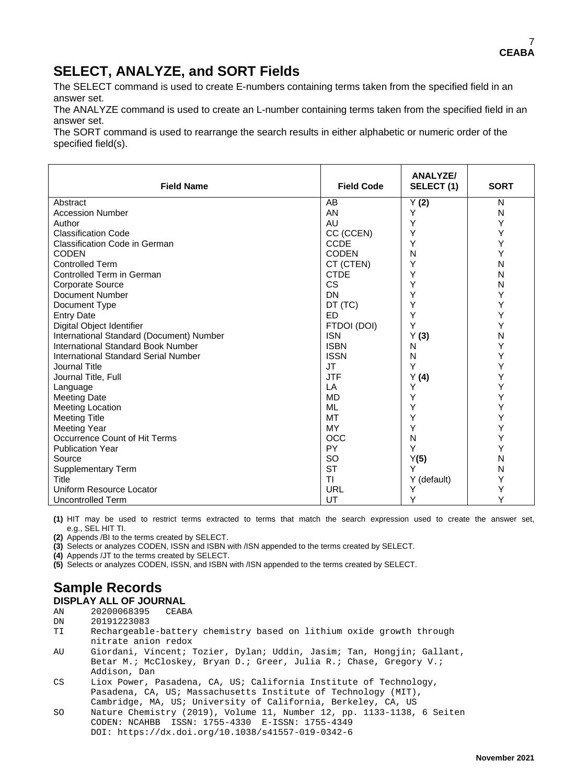## **SELECT, ANALYZE, and SORT Fields**

The SELECT command is used to create E-numbers containing terms taken from the specified field in an answer set.

The ANALYZE command is used to create an L-number containing terms taken from the specified field in an answer set.

The SORT command is used to rearrange the search results in either alphabetic or numeric order of the specified field(s).

| <b>Field Name</b>                           | <b>Field Code</b> | <b>ANALYZE/</b><br>SELECT(1) | <b>SORT</b> |
|---------------------------------------------|-------------------|------------------------------|-------------|
| Abstract                                    | AB                | Y(2)                         | N           |
| <b>Accession Number</b>                     | AN                | Y                            | N           |
| Author                                      | AU                | Y                            | Υ           |
| <b>Classification Code</b>                  | CC (CCEN)         | Υ                            | Y           |
| <b>Classification Code in German</b>        | <b>CCDE</b>       | Υ                            | Y           |
| <b>CODEN</b>                                | <b>CODEN</b>      | N                            | Y           |
| <b>Controlled Term</b>                      | CT (CTEN)         | Y                            | N           |
| Controlled Term in German                   | <b>CTDE</b>       | Υ                            | N           |
| <b>Corporate Source</b>                     | <b>CS</b>         | Y                            | N           |
| Document Number                             | <b>DN</b>         | Y                            | Υ           |
| Document Type                               | DT (TC)           | Υ                            | Υ           |
| <b>Entry Date</b>                           | <b>FD</b>         | Υ                            | Υ           |
| Digital Object Identifier                   | FTDOI (DOI)       | Y                            | Y           |
| International Standard (Document) Number    | <b>ISN</b>        | Y(3)                         | N           |
| <b>International Standard Book Number</b>   | <b>ISBN</b>       | N                            | Y           |
| <b>International Standard Serial Number</b> | <b>ISSN</b>       | N                            | Υ           |
| Journal Title                               | <b>JT</b>         | Y                            | Y           |
| Journal Title, Full                         | <b>JTF</b>        | Y(4)                         | Υ           |
| Language                                    | LA                | Y                            | Υ           |
| <b>Meeting Date</b>                         | <b>MD</b>         | Y                            | Υ           |
| <b>Meeting Location</b>                     | <b>ML</b>         | Υ                            | Y           |
| <b>Meeting Title</b>                        | <b>MT</b>         | Υ                            | Y           |
| <b>Meeting Year</b>                         | MY                | Y                            | Y           |
| Occurrence Count of Hit Terms               | <b>OCC</b>        | N                            | Υ           |
| <b>Publication Year</b>                     | <b>PY</b>         | Y                            | Y           |
| Source                                      | <b>SO</b>         | Y(5)                         | N           |
| <b>Supplementary Term</b>                   | <b>ST</b>         | Y                            | N           |
| Title                                       | <b>TI</b>         | Y (default)                  | Y           |
| Uniform Resource Locator                    | URL               | Y                            | Y           |
| <b>Uncontrolled Term</b>                    | UT                | Y                            | Y           |

**(1)** HIT may be used to restrict terms extracted to terms that match the search expression used to create the answer set, e.g., SEL HIT TI.

**(2)** Appends /BI to the terms created by SELECT.

**(3)** Selects or analyzes CODEN, ISSN and ISBN with /ISN appended to the terms created by SELECT.

**(4)** Appends /JT to the terms created by SELECT.

**(5)** Selects or analyzes CODEN, ISSN, and ISBN with /ISN appended to the terms created by SELECT.

# **Sample Records**

**DISPLAY ALL OF JOURNAL**<br>AN 20200068395 CEABA

- AN 20200068395<br>DN 20191223083
- DN 20191223083<br>TI Rechargeabl Rechargeable-battery chemistry based on lithium oxide growth through nitrate anion redox
- AU Giordani, Vincent; Tozier, Dylan; Uddin, Jasim; Tan, Hongjin; Gallant, Betar M.; McCloskey, Bryan D.; Greer, Julia R.; Chase, Gregory V.; Addison, Dan<br>CS Liox Power, 1
- Liox Power, Pasadena, CA, US; California Institute of Technology, Pasadena, CA, US; Massachusetts Institute of Technology (MIT),
- Cambridge, MA, US; University of California, Berkeley, CA, US<br>SO Nature Chemistry (2019), Volume 11, Number 12, pp. 1133-1138. Nature Chemistry (2019), Volume 11, Number 12, pp. 1133-1138, 6 Seiten CODEN: NCAHBB ISSN: 1755-4330 E-ISSN: 1755-4349 DOI: https://dx.doi.org/10.1038/s41557-019-0342-6